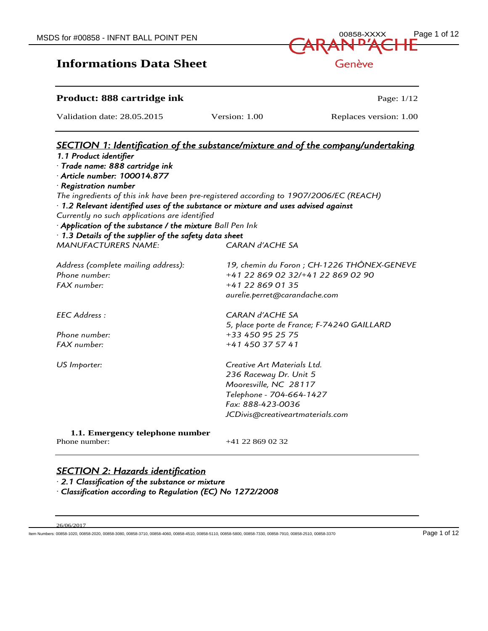| MSDS for #00858 - INFNT BALL POINT PEN | 00858-XXXX Page 1 of 12       |
|----------------------------------------|-------------------------------|
|                                        | <b>CARAN<sup>D'</sup>ACHE</b> |
| <b>Informations Data Sheet</b>         | Genève                        |

#### **Product: 888 cartridge ink** Page: 1/12

Validation date: 28.05.2015 Version: 1.00 Replaces version: 1.00

| <b>SECTION 1: Identification of the substance/mixture and of the company/undertaking</b>  |                                             |  |
|-------------------------------------------------------------------------------------------|---------------------------------------------|--|
| 1.1 Product identifier                                                                    |                                             |  |
| · Trade name: 888 cartridge ink<br>$\cdot$ Article number: 100014.877                     |                                             |  |
| $\cdot$ Registration number                                                               |                                             |  |
| The ingredients of this ink have been pre-registered according to 1907/2006/EC (REACH)    |                                             |  |
| $\cdot$ 1.2 Relevant identified uses of the substance or mixture and uses advised against |                                             |  |
| Currently no such applications are identified                                             |                                             |  |
| · Application of the substance / the mixture Ball Pen Ink                                 |                                             |  |
| $\cdot$ 1.3 Details of the supplier of the safety data sheet                              |                                             |  |
| <b>MANUFACTURERS NAME:</b>                                                                | CARAN d'ACHE SA                             |  |
| Address (complete mailing address):                                                       | 19, chemin du Foron ; CH-1226 THÔNEX-GENEVE |  |
| Phone number:                                                                             | +41 22 869 02 32/+41 22 869 02 90           |  |
| FAX number:                                                                               | +41 22 869 01 35                            |  |
|                                                                                           | aurelie.perret@carandache.com               |  |
| FFC Address:                                                                              | <b>CARAN d'ACHE SA</b>                      |  |
|                                                                                           | 5, place porte de France; F-74240 GAILLARD  |  |
| Phone number:                                                                             | +33 450 95 25 75                            |  |
| FAX number:                                                                               | +41 450 37 57 41                            |  |
| US Importer:                                                                              | Creative Art Materials Ltd.                 |  |
|                                                                                           | 236 Raceway Dr. Unit 5                      |  |
|                                                                                           | Mooresville, NC 28117                       |  |
|                                                                                           | Telephone - 704-664-1427                    |  |
|                                                                                           | Fax: 888-423-0036                           |  |
|                                                                                           | JCDivis@creativeartmaterials.com            |  |
| 1.1. Emergency telephone number                                                           |                                             |  |
| Phone number:                                                                             | +41 22 869 02 32                            |  |

#### *SECTION 2: Hazards identification*

*· 2.1 Classification of the substance or mixture* 

*· Classification according to Regulation (EC) No 1272/2008* 

26/06/2017

Item Numbers: 00858-1020, 00858-2020, 00858-3080, 00858-3710, 00858-4060, 00858-4510, 00858-5110, 00858-5800, 00858-7330, 00858-7910, 00858-2510, 00858-3370 Page 1 of 12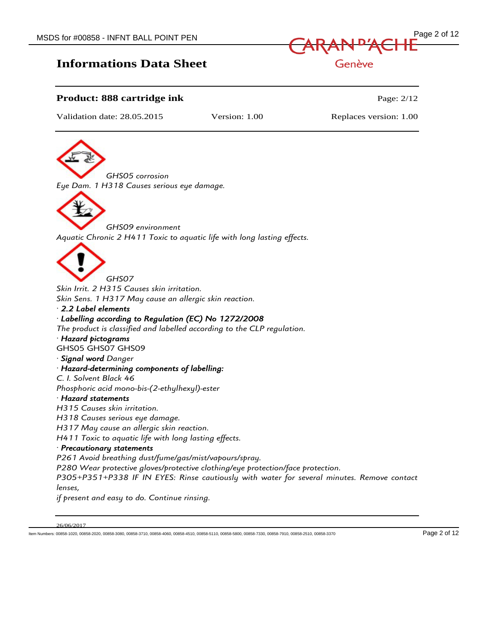

#### **Product: 888 cartridge ink** Page: 2/12

Validation date: 28.05.2015 Version: 1.00 Replaces version: 1.00

*GHS05 corrosion Eye Dam. 1 H318 Causes serious eye damage.*



*GHS09 environment Aquatic Chronic 2 H411 Toxic to aquatic life with long lasting effects.*



*Skin Irrit. 2 H315 Causes skin irritation. Skin Sens. 1 H317 May cause an allergic skin reaction.*

#### *· 2.2 Label elements*

#### *· Labelling according to Regulation (EC) No 1272/2008*

*The product is classified and labelled according to the CLP regulation.*

#### *· Hazard pictograms*

GHS05 GHS07 GHS09

#### *· Signal word Danger*

#### *· Hazard-determining components of labelling:*

*C. I. Solvent Black 46 Phosphoric acid mono-bis-(2-ethylhexyl)-ester*

#### *· Hazard statements*

*H315 Causes skin irritation.*

*H318 Causes serious eye damage.*

*H317 May cause an allergic skin reaction.*

*H411 Toxic to aquatic life with long lasting effects.*

#### *· Precautionary statements*

*P261 Avoid breathing dust/fume/gas/mist/vapours/spray. P280 Wear protective gloves/protective clothing/eye protection/face protection. P305+P351+P338 IF IN EYES: Rinse cautiously with water for several minutes. Remove contact lenses, if present and easy to do. Continue rinsing.*

Item Numbers: 00858-1020, 00858-2020, 00858-3080, 00858-3710, 00858-4060, 00858-4510, 00858-5110, 00858-5800, 00858-7330, 00858-7910, 00858-2510, 00858-3370 Page 2 of 12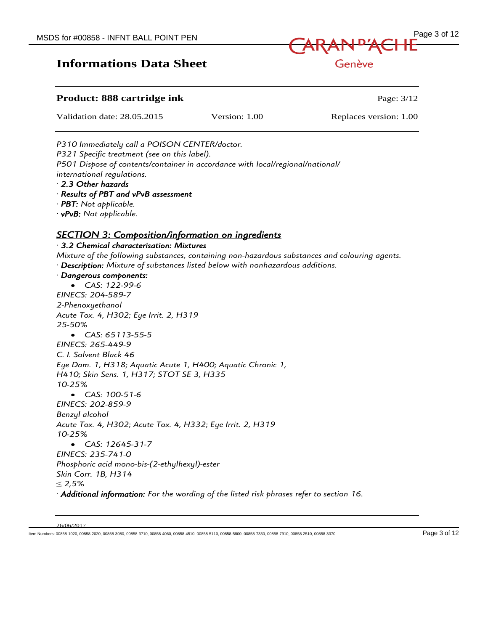

Genève

#### **Product: 888 cartridge ink Page: 3/12** Page: 3/12

Validation date: 28.05.2015 Version: 1.00 Replaces version: 1.00

*P310 Immediately call a POISON CENTER/doctor. P321 Specific treatment (see on this label). P501 Dispose of contents/container in accordance with local/regional/national/ international regulations. · 2.3 Other hazards* 

*· Results of PBT and vPvB assessment* 

*· PBT: Not applicable.*

*· vPvB: Not applicable.*

#### *SECTION 3: Composition/information on ingredients*

#### *· 3.2 Chemical characterisation: Mixtures*

*Mixture of the following substances, containing non-hazardous substances and colouring agents. · Description: Mixture of substances listed below with nonhazardous additions.*

*· Dangerous components: CAS: 122-99-6 EINECS: 204-589-7*

*2-Phenoxyethanol Acute Tox. 4, H302; Eye Irrit. 2, H319 25-50% CAS: 65113-55-5 EINECS: 265-449-9 C. I. Solvent Black 46 Eye Dam. 1, H318; Aquatic Acute 1, H400; Aquatic Chronic 1, H410; Skin Sens. 1, H317; STOT SE 3, H335 10-25% CAS: 100-51-6 EINECS: 202-859-9 Benzyl alcohol Acute Tox. 4, H302; Acute Tox. 4, H332; Eye Irrit. 2, H319 10-25% CAS: 12645-31-7 EINECS: 235-741-0 Phosphoric acid mono-bis-(2-ethylhexyl)-ester Skin Corr. 1B, H314* ≤ *2,5% · Additional information: For the wording of the listed risk phrases refer to section 16.*

26/06/2017

Item Numbers: 00858-1020, 00858-2020, 00858-3080, 00858-3710, 00858-4060, 00858-4510, 00858-5110, 00858-5800, 00858-7330, 00858-7910, 00858-2510, 00858-3370 Page 3 of 12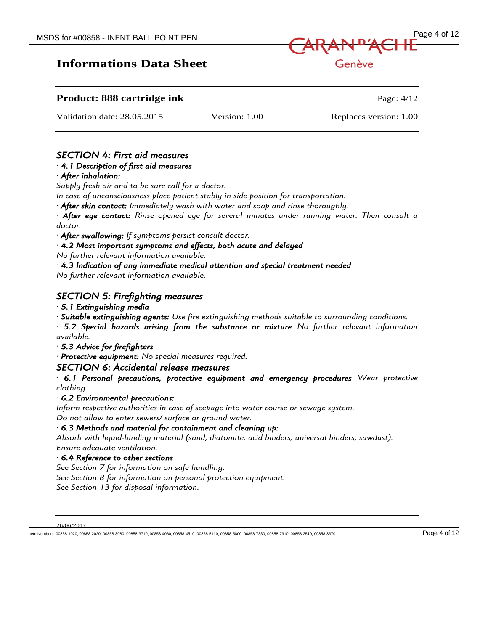

Genève

| <b>Product: 888 cartridge ink</b> |               | Page: $4/12$           |
|-----------------------------------|---------------|------------------------|
| Validation date: 28.05.2015       | Version: 1.00 | Replaces version: 1.00 |

#### *SECTION 4: First aid measures*

#### *· 4.1 Description of first aid measures*

*· After inhalation:* 

*Supply fresh air and to be sure call for a doctor.*

*In case of unconsciousness place patient stably in side position for transportation.*

*· After skin contact: Immediately wash with water and soap and rinse thoroughly.*

*· After eye contact: Rinse opened eye for several minutes under running water. Then consult a doctor.*

*· After swallowing: If symptoms persist consult doctor.*

*· 4.2 Most important symptoms and effects, both acute and delayed* 

*No further relevant information available.*

*· 4.3 Indication of any immediate medical attention and special treatment needed* 

*No further relevant information available.*

#### *SECTION 5: Firefighting measures*

*· 5.1 Extinguishing media* 

*· Suitable extinguishing agents: Use fire extinguishing methods suitable to surrounding conditions.*

*· 5.2 Special hazards arising from the substance or mixture No further relevant information available.*

*· 5.3 Advice for firefighters* 

*· Protective equipment: No special measures required.*

#### *SECTION 6: Accidental release measures*

*· 6.1 Personal precautions, protective equipment and emergency procedures Wear protective clothing.*

#### *· 6.2 Environmental precautions:*

*Inform respective authorities in case of seepage into water course or sewage system.*

*Do not allow to enter sewers/ surface or ground water.*

#### *· 6.3 Methods and material for containment and cleaning up:*

*Absorb with liquid-binding material (sand, diatomite, acid binders, universal binders, sawdust). Ensure adequate ventilation.*

*· 6.4 Reference to other sections* 

*See Section 7 for information on safe handling.*

*See Section 8 for information on personal protection equipment.*

*See Section 13 for disposal information.*

26/06/2017

Item Numbers: 00858-1020, 00858-2020, 00858-3080, 00858-3710, 00858-4060, 00858-4510, 00858-5110, 00858-5800, 00858-7330, 00858-7910, 00858-2510, 00858-3370 Page 4 of 12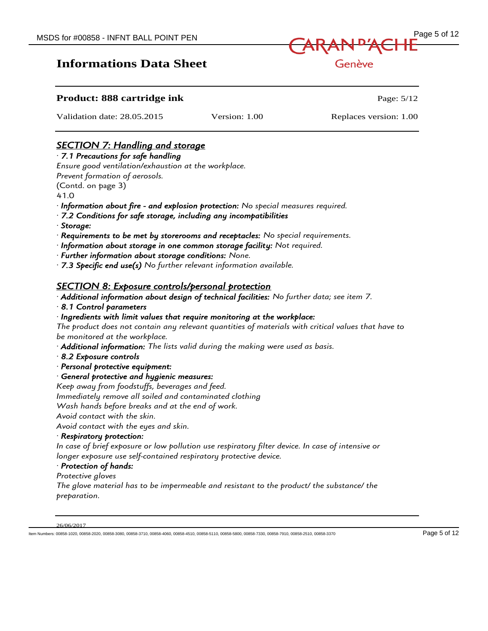

#### Genève

#### **Product: 888 cartridge ink Page: 5/12 Page: 5/12**

Validation date: 28.05.2015 Version: 1.00 Replaces version: 1.00

#### *SECTION 7: Handling and storage*

#### *· 7.1 Precautions for safe handling*

*Ensure good ventilation/exhaustion at the workplace.*

*Prevent formation of aerosols.*

(Contd. on page 3)

41.0

- *· Information about fire and explosion protection: No special measures required.*
- *· 7.2 Conditions for safe storage, including any incompatibilities*
- *· Storage:*
- *· Requirements to be met by storerooms and receptacles: No special requirements.*
- *· Information about storage in one common storage facility: Not required.*
- *· Further information about storage conditions: None.*
- *· 7.3 Specific end use(s) No further relevant information available.*

#### *SECTION 8: Exposure controls/personal protection*

*· Additional information about design of technical facilities: No further data; see item 7.*

*· 8.1 Control parameters* 

#### *· Ingredients with limit values that require monitoring at the workplace:*

*The product does not contain any relevant quantities of materials with critical values that have to be monitored at the workplace.*

*· Additional information: The lists valid during the making were used as basis.*

- *· 8.2 Exposure controls*
- *· Personal protective equipment:*
- *· General protective and hygienic measures:*

*Keep away from foodstuffs, beverages and feed.*

*Immediately remove all soiled and contaminated clothing*

*Wash hands before breaks and at the end of work.*

*Avoid contact with the skin.*

*Avoid contact with the eyes and skin.*

#### *· Respiratory protection:*

*In case of brief exposure or low pollution use respiratory filter device. In case of intensive or longer exposure use self-contained respiratory protective device.*

#### *· Protection of hands:*

*Protective gloves*

*The glove material has to be impermeable and resistant to the product/ the substance/ the preparation.*

26/06/2017

Item Numbers: 00858-1020, 00858-2020, 00858-3080, 00858-3710, 00858-4060, 00858-4510, 00858-5110, 00858-5800, 00858-7330, 00858-7910, 00858-2510, 00858-3370 Page 5 of 12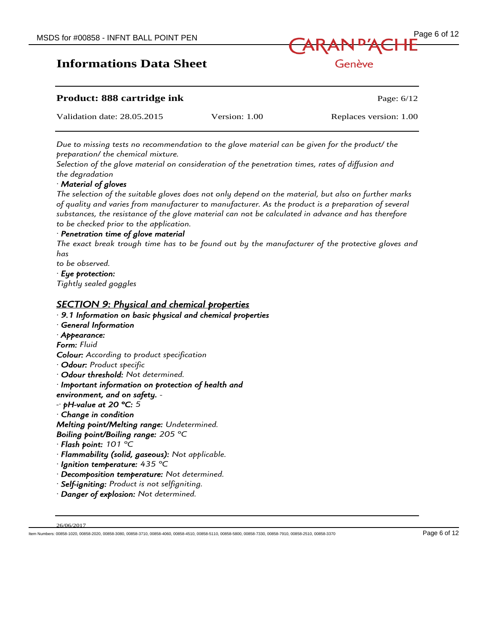

| <b>Product: 888 cartridge ink</b> |               | Page: $6/12$           |
|-----------------------------------|---------------|------------------------|
| Validation date: 28.05.2015       | Version: 1.00 | Replaces version: 1.00 |

*Due to missing tests no recommendation to the glove material can be given for the product/ the preparation/ the chemical mixture.*

*Selection of the glove material on consideration of the penetration times, rates of diffusion and the degradation*

#### *· Material of gloves*

*The selection of the suitable gloves does not only depend on the material, but also on further marks of quality and varies from manufacturer to manufacturer. As the product is a preparation of several substances, the resistance of the glove material can not be calculated in advance and has therefore to be checked prior to the application.*

#### *· Penetration time of glove material*

*The exact break trough time has to be found out by the manufacturer of the protective gloves and has*

*to be observed.*

*· Eye protection: Tightly sealed goggles*

#### *SECTION 9: Physical and chemical properties*

*· 9.1 Information on basic physical and chemical properties · General Information · Appearance: Form: Fluid Colour: According to product specification · Odour: Product specific · Odour threshold: Not determined. · Important information on protection of health and environment, and on safety. - -· pH-value at 20 °C: 5 · Change in condition Melting point/Melting range: Undetermined. Boiling point/Boiling range: 205 °C · Flash point: 101 °C · Flammability (solid, gaseous): Not applicable. · Ignition temperature: 435 °C · Decomposition temperature: Not determined. · Self-igniting: Product is not selfigniting. · Danger of explosion: Not determined.*

Item Numbers: 00858-1020, 00858-2020, 00858-3080, 00858-3710, 00858-4060, 00858-4510, 00858-5110, 00858-5800, 00858-7330, 00858-7910, 00858-2510, 00858-3370 Page 6 of 12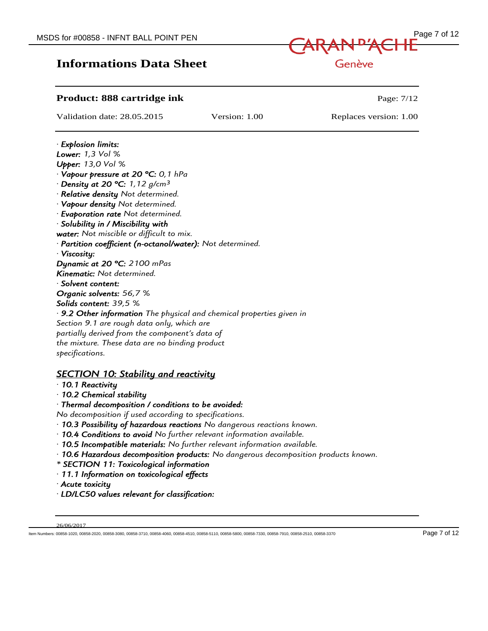

Genève

#### **Product: 888 cartridge ink Page: 7/12 Page: 7/12**

Validation date: 28.05.2015 Version: 1.00 Replaces version: 1.00

#### *· Explosion limits: Lower: 1,3 Vol % Upper: 13,0 Vol % · Vapour pressure at 20 °C: 0,1 hPa · Density at 20 °C: 1,12 g/cm³ · Relative density Not determined. · Vapour density Not determined. · Evaporation rate Not determined. · Solubility in / Miscibility with water: Not miscible or difficult to mix. · Partition coefficient (n-octanol/water): Not determined. · Viscosity: Dynamic at 20 °C: 2100 mPas Kinematic: Not determined. · Solvent content: Organic solvents: 56,7 % Solids content: 39,5 % · 9.2 Other information The physical and chemical properties given in Section 9.1 are rough data only, which are partially derived from the component's data of the mixture. These data are no binding product specifications.*

#### *SECTION 10: Stability and reactivity*

- *· 10.1 Reactivity*
- *· 10.2 Chemical stability*
- *· Thermal decomposition / conditions to be avoided:*

*No decomposition if used according to specifications.*

- *· 10.3 Possibility of hazardous reactions No dangerous reactions known.*
- *· 10.4 Conditions to avoid No further relevant information available.*
- *· 10.5 Incompatible materials: No further relevant information available.*
- *· 10.6 Hazardous decomposition products: No dangerous decomposition products known.*
- *\* SECTION 11: Toxicological information*
- *· 11.1 Information on toxicological effects*
- *· Acute toxicity*
- *· LD/LC50 values relevant for classification:*

Item Numbers: 00858-1020, 00858-2020, 00858-3080, 00858-3710, 00858-4060, 00858-4510, 00858-5110, 00858-5800, 00858-7330, 00858-7910, 00858-2510, 00858-3370 Page 7 of 12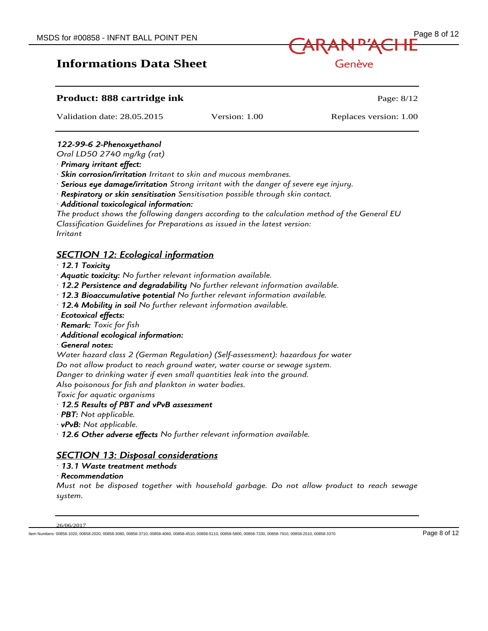

Genève

#### **Product: 888 cartridge ink Product: 888 cartridge ink Page: 8/12** Validation date: 28.05.2015 Version: 1.00 Replaces version: 1.00 *122-99-6 2-Phenoxyethanol Oral LD50 2740 mg/kg (rat) · Primary irritant effect: · Skin corrosion/irritation Irritant to skin and mucous membranes. · Serious eye damage/irritation Strong irritant with the danger of severe eye injury. · Respiratory or skin sensitisation Sensitisation possible through skin contact. · Additional toxicological information: The product shows the following dangers according to the calculation method of the General EU Classification Guidelines for Preparations as issued in the latest version: Irritant SECTION 12: Ecological information · 12.1 Toxicity · Aquatic toxicity: No further relevant information available. · 12.2 Persistence and degradability No further relevant information available. · 12.3 Bioaccumulative potential No further relevant information available. · 12.4 Mobility in soil No further relevant information available. · Ecotoxical effects: · Remark: Toxic for fish · Additional ecological information: · General notes: Water hazard class 2 (German Regulation) (Self-assessment): hazardous for water Do not allow product to reach ground water, water course or sewage system. Danger to drinking water if even small quantities leak into the ground. Also poisonous for fish and plankton in water bodies. Toxic for aquatic organisms · 12.5 Results of PBT and vPvB assessment · PBT: Not applicable. · vPvB: Not applicable. · 12.6 Other adverse effects No further relevant information available. SECTION 13: Disposal considerations · 13.1 Waste treatment methods*

*· Recommendation* 

*Must not be disposed together with household garbage. Do not allow product to reach sewage system.*

#### 26/06/2017

Item Numbers: 00858-1020, 00858-2020, 00858-3080, 00858-3710, 00858-4060, 00858-4510, 00858-5110, 00858-5800, 00858-7330, 00858-7910, 00858-2510, 00858-3370 Page 8 of 12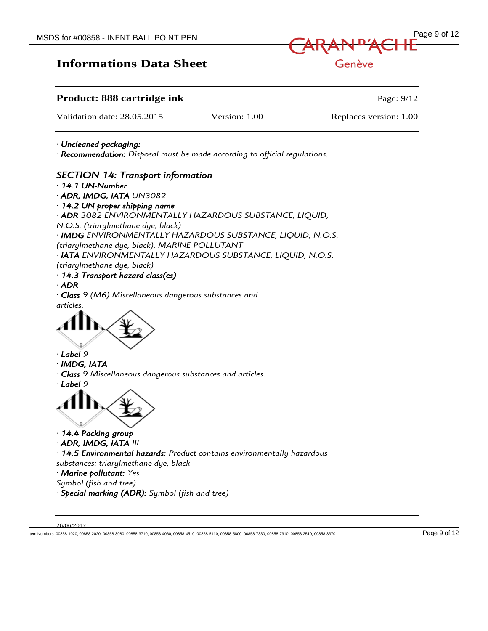

Genève

#### **Product: 888 cartridge ink Page: 9/12 Page: 9/12**

Validation date: 28.05.2015 Version: 1.00 Replaces version: 1.00

*· Uncleaned packaging:* 

*· Recommendation: Disposal must be made according to official regulations.*

#### *SECTION 14: Transport information*

*· 14.1 UN-Number* 

*· ADR, IMDG, IATA UN3082*

*· 14.2 UN proper shipping name* 

*· ADR 3082 ENVIRONMENTALLY HAZARDOUS SUBSTANCE, LIQUID,*

*N.O.S. (triarylmethane dye, black)*

*· IMDG ENVIRONMENTALLY HAZARDOUS SUBSTANCE, LIQUID, N.O.S.*

*(triarylmethane dye, black), MARINE POLLUTANT*

*· IATA ENVIRONMENTALLY HAZARDOUS SUBSTANCE, LIQUID, N.O.S.*

*(triarylmethane dye, black)*

*· 14.3 Transport hazard class(es)* 

*· ADR* 

*· Class 9 (M6) Miscellaneous dangerous substances and articles.*



- *· Label 9*
- *· IMDG, IATA*
- *· Class 9 Miscellaneous dangerous substances and articles.*
- *· Label 9*



- *· 14.4 Packing group*
- *· ADR, IMDG, IATA III*

*· 14.5 Environmental hazards: Product contains environmentally hazardous substances: triarylmethane dye, black*

*· Marine pollutant: Yes*

- *Symbol (fish and tree)*
- *· Special marking (ADR): Symbol (fish and tree)*

Item Numbers: 00858-1020, 00858-2020, 00858-3080, 00858-3710, 00858-4060, 00858-4510, 00858-5110, 00858-5800, 00858-7330, 00858-7910, 00858-2510, 00858-3370 Page 9 of 12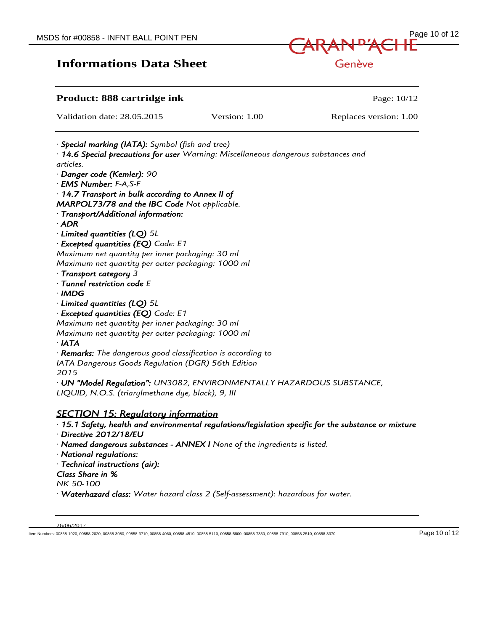# MSDS for #00858 - INFNT BALL POINT PEN Page 10 of 12 Genève

| Product: 888 cartridge ink                                                                                                                           |               | Page: 10/12            |  |
|------------------------------------------------------------------------------------------------------------------------------------------------------|---------------|------------------------|--|
| Validation date: 28.05.2015                                                                                                                          | Version: 1.00 | Replaces version: 1.00 |  |
| · <b>Special marking (IATA):</b> Symbol (fish and tree)<br>$\cdot$ 14.6 Special precautions for user Warning: Miscellaneous dangerous substances and |               |                        |  |
| articles.                                                                                                                                            |               |                        |  |
| · Danger code (Kemler): 90                                                                                                                           |               |                        |  |
| · EMS Number: F-A,S-F                                                                                                                                |               |                        |  |
| $\cdot$ 14.7 Transport in bulk according to Annex II of                                                                                              |               |                        |  |
| MARPOL73/78 and the IBC Code Not applicable.                                                                                                         |               |                        |  |
| · Transport/Additional information:                                                                                                                  |               |                        |  |
| $·$ ADR                                                                                                                                              |               |                        |  |
| $\cdot$ Limited quantities (LQ) 5L                                                                                                                   |               |                        |  |
| · Excepted quantities (EQ) Code: E1                                                                                                                  |               |                        |  |
| Maximum net quantity per inner packaging: 30 ml                                                                                                      |               |                        |  |
| Maximum net quantity per outer packaging: 1000 ml                                                                                                    |               |                        |  |
| · Transport category 3                                                                                                                               |               |                        |  |
| · Tunnel restriction code E                                                                                                                          |               |                        |  |
| · IMDG                                                                                                                                               |               |                        |  |
| $\cdot$ Limited quantities (LQ) 5L                                                                                                                   |               |                        |  |
| · Excepted quantities (EQ) Code: E1                                                                                                                  |               |                        |  |
| Maximum net quantity per inner packaging: 30 ml                                                                                                      |               |                        |  |
| Maximum net quantity per outer packaging: 1000 ml                                                                                                    |               |                        |  |
| $\cdot$ IATA                                                                                                                                         |               |                        |  |
| $\cdot$ <b>Remarks:</b> The dangerous good classification is according to                                                                            |               |                        |  |
| IATA Dangerous Goods Regulation (DGR) 56th Edition                                                                                                   |               |                        |  |
| 2015                                                                                                                                                 |               |                        |  |
| · UN "Model Regulation": UN3082, ENVIRONMENTALLY HAZARDOUS SUBSTANCE,                                                                                |               |                        |  |
| LIQUID, N.O.S. (triarylmethane dye, black), 9, III                                                                                                   |               |                        |  |
| <b>SECTION 15: Regulatory information</b>                                                                                                            |               |                        |  |
| $\cdot$ 15.1 Safety, health and environmental regulations/legislation specific for the substance or mixture                                          |               |                        |  |
| · Directive 2012/18/EU                                                                                                                               |               |                        |  |
| · Named dangerous substances - ANNEX I None of the ingredients is listed.                                                                            |               |                        |  |
| · National regulations:                                                                                                                              |               |                        |  |
| · Technical instructions (air):                                                                                                                      |               |                        |  |
| Class Share in %                                                                                                                                     |               |                        |  |
| NK 50-100                                                                                                                                            |               |                        |  |

*· Waterhazard class: Water hazard class 2 (Self-assessment): hazardous for water.*

<sup>26/06/2017</sup>

Item Numbers: 00858-1020, 00858-2020, 00858-3080, 00858-3710, 00858-4060, 00858-4510, 00858-5110, 00858-5800, 00858-7330, 00858-7910, 00858-2510, 00858-3370 Page 10 of 12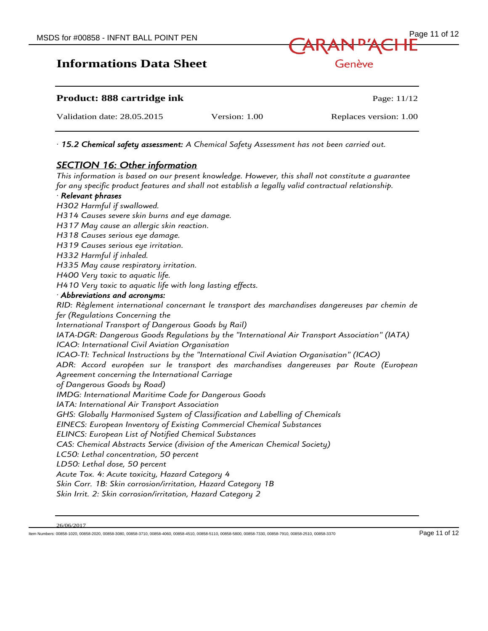

| <b>Product: 888 cartridge ink</b> |               | Page: $11/12$          |
|-----------------------------------|---------------|------------------------|
| Validation date: 28.05.2015       | Version: 1.00 | Replaces version: 1.00 |

*· 15.2 Chemical safety assessment: A Chemical Safety Assessment has not been carried out.*

#### *SECTION 16: Other information*

*This information is based on our present knowledge. However, this shall not constitute a guarantee for any specific product features and shall not establish a legally valid contractual relationship.*

#### *· Relevant phrases*

*H302 Harmful if swallowed. H314 Causes severe skin burns and eye damage. H317 May cause an allergic skin reaction. H318 Causes serious eye damage. H319 Causes serious eye irritation. H332 Harmful if inhaled. H335 May cause respiratory irritation. H400 Very toxic to aquatic life. H410 Very toxic to aquatic life with long lasting effects. · Abbreviations and acronyms: RID: Règlement international concernant le transport des marchandises dangereuses par chemin de fer (Regulations Concerning the International Transport of Dangerous Goods by Rail) IATA-DGR: Dangerous Goods Regulations by the "International Air Transport Association" (IATA) ICAO: International Civil Aviation Organisation ICAO-TI: Technical Instructions by the "International Civil Aviation Organisation" (ICAO) ADR: Accord européen sur le transport des marchandises dangereuses par Route (European Agreement concerning the International Carriage of Dangerous Goods by Road) IMDG: International Maritime Code for Dangerous Goods IATA: International Air Transport Association GHS: Globally Harmonised System of Classification and Labelling of Chemicals EINECS: European Inventory of Existing Commercial Chemical Substances ELINCS: European List of Notified Chemical Substances CAS: Chemical Abstracts Service (division of the American Chemical Society) LC50: Lethal concentration, 50 percent LD50: Lethal dose, 50 percent Acute Tox. 4: Acute toxicity, Hazard Category 4 Skin Corr. 1B: Skin corrosion/irritation, Hazard Category 1B Skin Irrit. 2: Skin corrosion/irritation, Hazard Category 2*

Item Numbers: 00858-1020, 00858-2020, 00858-3080, 00858-3710, 00858-4060, 00858-4510, 00858-5110, 00858-5800, 00858-7330, 00858-7910, 00858-2510, 00858-3370 Page 11 of 12